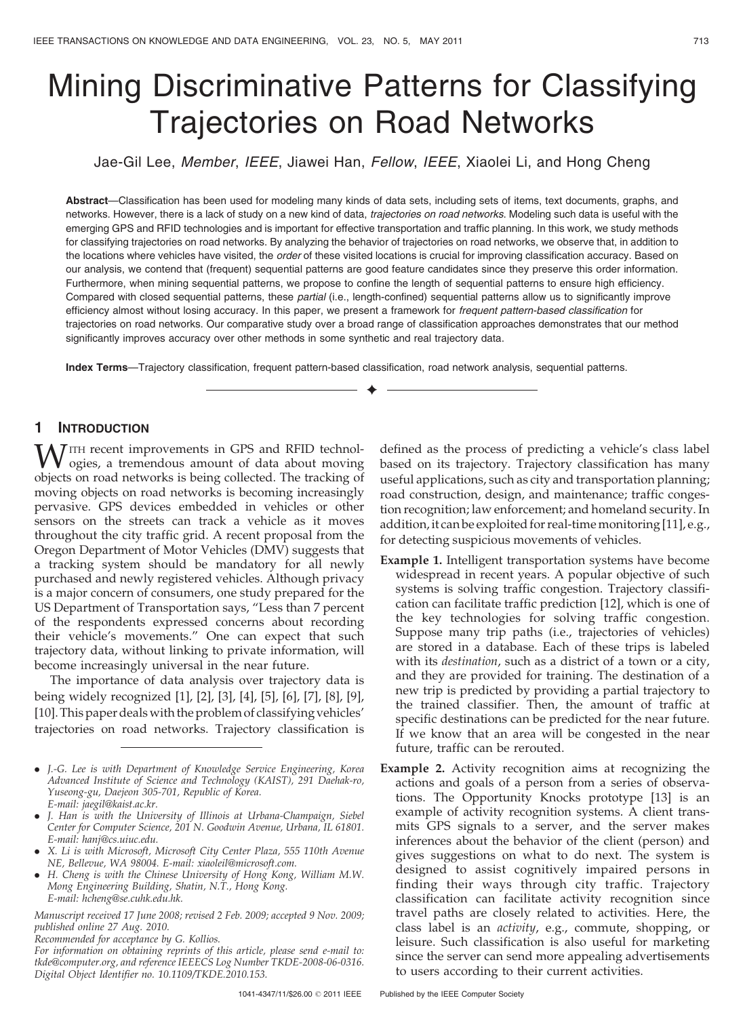# Mining Discriminative Patterns for Classifying Trajectories on Road Networks

Jae-Gil Lee, Member, IEEE, Jiawei Han, Fellow, IEEE, Xiaolei Li, and Hong Cheng

Abstract—Classification has been used for modeling many kinds of data sets, including sets of items, text documents, graphs, and networks. However, there is a lack of study on a new kind of data, *trajectories on road networks*. Modeling such data is useful with the emerging GPS and RFID technologies and is important for effective transportation and traffic planning. In this work, we study methods for classifying trajectories on road networks. By analyzing the behavior of trajectories on road networks, we observe that, in addition to the locations where vehicles have visited, the order of these visited locations is crucial for improving classification accuracy. Based on our analysis, we contend that (frequent) sequential patterns are good feature candidates since they preserve this order information. Furthermore, when mining sequential patterns, we propose to confine the length of sequential patterns to ensure high efficiency. Compared with closed sequential patterns, these partial (i.e., length-confined) sequential patterns allow us to significantly improve efficiency almost without losing accuracy. In this paper, we present a framework for frequent pattern-based classification for trajectories on road networks. Our comparative study over a broad range of classification approaches demonstrates that our method significantly improves accuracy over other methods in some synthetic and real trajectory data.

 $\ddotmark$ 

Index Terms—Trajectory classification, frequent pattern-based classification, road network analysis, sequential patterns.

# 1 INTRODUCTION

 $\overline{J}$ ITH recent improvements in GPS and RFID technologies, a tremendous amount of data about moving objects on road networks is being collected. The tracking of moving objects on road networks is becoming increasingly pervasive. GPS devices embedded in vehicles or other sensors on the streets can track a vehicle as it moves throughout the city traffic grid. A recent proposal from the Oregon Department of Motor Vehicles (DMV) suggests that a tracking system should be mandatory for all newly purchased and newly registered vehicles. Although privacy is a major concern of consumers, one study prepared for the US Department of Transportation says, "Less than 7 percent of the respondents expressed concerns about recording their vehicle's movements." One can expect that such trajectory data, without linking to private information, will become increasingly universal in the near future.

The importance of data analysis over trajectory data is being widely recognized [1], [2], [3], [4], [5], [6], [7], [8], [9], [10]. This paper deals with the problem of classifying vehicles' trajectories on road networks. Trajectory classification is

- . J.-G. Lee is with Department of Knowledge Service Engineering, Korea Advanced Institute of Science and Technology (KAIST), 291 Daehak-ro, Yuseong-gu, Daejeon 305-701, Republic of Korea. E-mail: jaegil@kaist.ac.kr.
- . J. Han is with the University of Illinois at Urbana-Champaign, Siebel Center for Computer Science, 201 N. Goodwin Avenue, Urbana, IL 61801. E-mail: hanj@cs.uiuc.edu.
- . X. Li is with Microsoft, Microsoft City Center Plaza, 555 110th Avenue NE, Bellevue, WA 98004. E-mail: xiaoleil@microsoft.com.
- . H. Cheng is with the Chinese University of Hong Kong, William M.W. Mong Engineering Building, Shatin, N.T., Hong Kong. E-mail: hcheng@se.cuhk.edu.hk.

Manuscript received 17 June 2008; revised 2 Feb. 2009; accepted 9 Nov. 2009; published online 27 Aug. 2010.

Recommended for acceptance by G. Kollios.

defined as the process of predicting a vehicle's class label based on its trajectory. Trajectory classification has many useful applications, such as city and transportation planning; road construction, design, and maintenance; traffic congestion recognition; law enforcement; and homeland security. In addition, it can be exploited for real-time monitoring [11], e.g., for detecting suspicious movements of vehicles.

- Example 1. Intelligent transportation systems have become widespread in recent years. A popular objective of such systems is solving traffic congestion. Trajectory classification can facilitate traffic prediction [12], which is one of the key technologies for solving traffic congestion. Suppose many trip paths (i.e., trajectories of vehicles) are stored in a database. Each of these trips is labeled with its destination, such as a district of a town or a city, and they are provided for training. The destination of a new trip is predicted by providing a partial trajectory to the trained classifier. Then, the amount of traffic at specific destinations can be predicted for the near future. If we know that an area will be congested in the near future, traffic can be rerouted.
- Example 2. Activity recognition aims at recognizing the actions and goals of a person from a series of observations. The Opportunity Knocks prototype [13] is an example of activity recognition systems. A client transmits GPS signals to a server, and the server makes inferences about the behavior of the client (person) and gives suggestions on what to do next. The system is designed to assist cognitively impaired persons in finding their ways through city traffic. Trajectory classification can facilitate activity recognition since travel paths are closely related to activities. Here, the class label is an activity, e.g., commute, shopping, or leisure. Such classification is also useful for marketing since the server can send more appealing advertisements to users according to their current activities.

For information on obtaining reprints of this article, please send e-mail to: tkde@computer.org, and reference IEEECS Log Number TKDE-2008-06-0316. Digital Object Identifier no. 10.1109/TKDE.2010.153.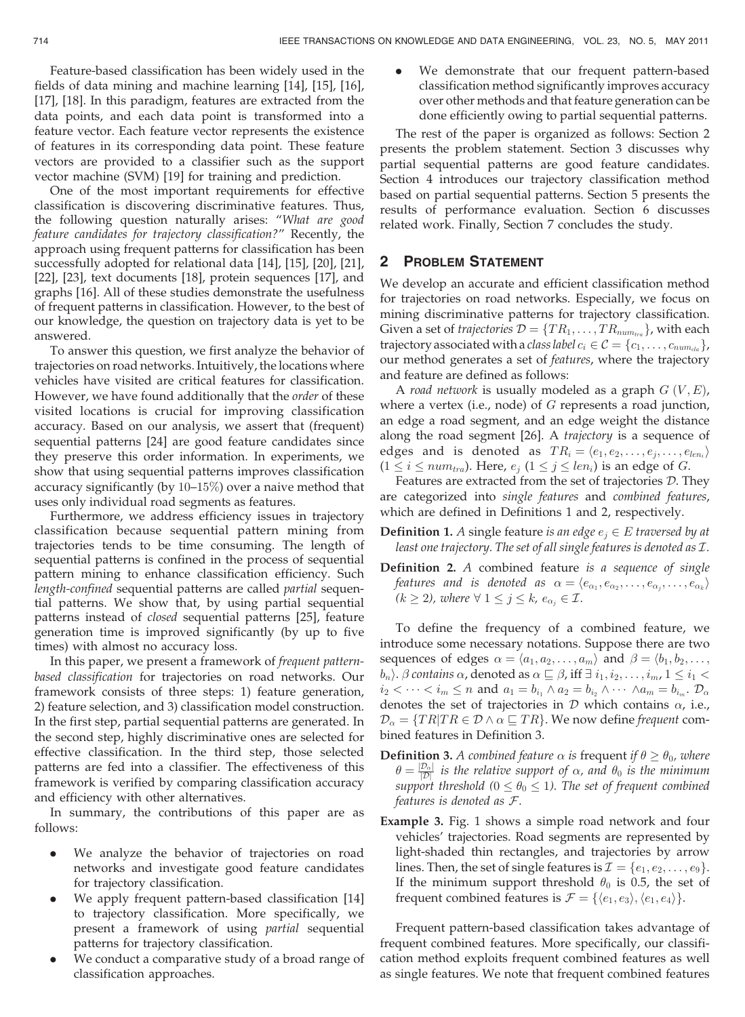Feature-based classification has been widely used in the fields of data mining and machine learning [14], [15], [16], [17], [18]. In this paradigm, features are extracted from the data points, and each data point is transformed into a feature vector. Each feature vector represents the existence of features in its corresponding data point. These feature vectors are provided to a classifier such as the support vector machine (SVM) [19] for training and prediction.

One of the most important requirements for effective classification is discovering discriminative features. Thus, the following question naturally arises: "What are good feature candidates for trajectory classification?" Recently, the approach using frequent patterns for classification has been successfully adopted for relational data [14], [15], [20], [21], [22], [23], text documents [18], protein sequences [17], and graphs [16]. All of these studies demonstrate the usefulness of frequent patterns in classification. However, to the best of our knowledge, the question on trajectory data is yet to be answered.

To answer this question, we first analyze the behavior of trajectories on road networks. Intuitively, the locations where vehicles have visited are critical features for classification. However, we have found additionally that the *order* of these visited locations is crucial for improving classification accuracy. Based on our analysis, we assert that (frequent) sequential patterns [24] are good feature candidates since they preserve this order information. In experiments, we show that using sequential patterns improves classification accuracy significantly (by 10–15%) over a naive method that uses only individual road segments as features.

Furthermore, we address efficiency issues in trajectory classification because sequential pattern mining from trajectories tends to be time consuming. The length of sequential patterns is confined in the process of sequential pattern mining to enhance classification efficiency. Such length-confined sequential patterns are called partial sequential patterns. We show that, by using partial sequential patterns instead of closed sequential patterns [25], feature generation time is improved significantly (by up to five times) with almost no accuracy loss.

In this paper, we present a framework of frequent patternbased classification for trajectories on road networks. Our framework consists of three steps: 1) feature generation, 2) feature selection, and 3) classification model construction. In the first step, partial sequential patterns are generated. In the second step, highly discriminative ones are selected for effective classification. In the third step, those selected patterns are fed into a classifier. The effectiveness of this framework is verified by comparing classification accuracy and efficiency with other alternatives.

In summary, the contributions of this paper are as follows:

- . We analyze the behavior of trajectories on road networks and investigate good feature candidates for trajectory classification.
- We apply frequent pattern-based classification [14] to trajectory classification. More specifically, we present a framework of using partial sequential patterns for trajectory classification.
- . We conduct a comparative study of a broad range of classification approaches.

. We demonstrate that our frequent pattern-based classification method significantly improves accuracy over other methods and that feature generation can be done efficiently owing to partial sequential patterns.

The rest of the paper is organized as follows: Section 2 presents the problem statement. Section 3 discusses why partial sequential patterns are good feature candidates. Section 4 introduces our trajectory classification method based on partial sequential patterns. Section 5 presents the results of performance evaluation. Section 6 discusses related work. Finally, Section 7 concludes the study.

# 2 PROBLEM STATEMENT

We develop an accurate and efficient classification method for trajectories on road networks. Especially, we focus on mining discriminative patterns for trajectory classification. Given a set of *trajectories*  $\mathcal{D} = \{TR_1, \ldots, TR_{num_{tra}}\}$ , with each trajectory associated with a *class label*  $c_i \in \mathcal{C} = \{c_1, \ldots, c_{num_{cla}}\},$ our method generates a set of features, where the trajectory and feature are defined as follows:

A road network is usually modeled as a graph  $G(V, E)$ , where a vertex (i.e., node) of  $G$  represents a road junction, an edge a road segment, and an edge weight the distance along the road segment [26]. A trajectory is a sequence of edges and is denoted as  $TR_i = \langle e_1, e_2, \ldots, e_j, \ldots, e_{len_i} \rangle$  $(1 \leq i \leq num_{tra})$ . Here,  $e_j$   $(1 \leq j \leq len_i)$  is an edge of *G*.

Features are extracted from the set of trajectories  $D$ . They are categorized into single features and combined features, which are defined in Definitions 1 and 2, respectively.

- **Definition 1.** A single feature is an edge  $e_i \in E$  traversed by at least one trajectory. The set of all single features is denoted as  $\mathcal{I}.$
- Definition 2. A combined feature is a sequence of single features and is denoted as  $\alpha = \langle e_{\alpha_1}, e_{\alpha_2}, \ldots, e_{\alpha_j}, \ldots, e_{\alpha_k} \rangle$  $(k \geq 2)$ , where  $\forall$   $1 \leq j \leq k$ ,  $e_{\alpha_j} \in \mathcal{I}$ .

To define the frequency of a combined feature, we introduce some necessary notations. Suppose there are two sequences of edges  $\alpha = \langle a_1, a_2, \ldots, a_m \rangle$  and  $\beta = \langle b_1, b_2, \ldots, b_m \rangle$  $\langle b_n\rangle$ .  $\beta$  contains  $\alpha$ , denoted as  $\alpha\sqsubseteq\beta$ , iff  $\exists\ i_1,i_2,\ldots,i_m$ ,  $1\le i_1<\beta$  $i_2 < \cdots < i_m \leq n$  and  $a_1 = b_{i_1} \wedge a_2 = b_{i_2} \wedge \cdots \wedge a_m = b_{i_m}$ .  $\mathcal{D}_{\alpha}$ denotes the set of trajectories in  ${\cal D}$  which contains  $\alpha$ , i.e.,  $\mathcal{D}_{\alpha} = \{TR|TR \in \mathcal{D} \wedge \alpha \sqsubseteq TR\}.$  We now define frequent combined features in Definition 3.

- **Definition 3.** A combined feature  $\alpha$  is frequent if  $\theta \ge \theta_0$ , where  $\theta = \frac{|\mathcal{D}_{\alpha}|}{|\mathcal{D}|}$  is the relative support of  $\alpha$ , and  $\theta_0$  is the minimum support threshold ( $0\leq \theta_0\leq 1$ ). The set of frequent combined features is denoted as F.
- Example 3. Fig. 1 shows a simple road network and four vehicles' trajectories. Road segments are represented by light-shaded thin rectangles, and trajectories by arrow lines. Then, the set of single features is  $\mathcal{I} = \{e_1, e_2, \ldots, e_9\}.$ If the minimum support threshold  $\theta_0$  is 0.5, the set of frequent combined features is  $\mathcal{F} = \{ \langle e_1, e_3 \rangle, \langle e_1, e_4 \rangle \}.$

Frequent pattern-based classification takes advantage of frequent combined features. More specifically, our classification method exploits frequent combined features as well as single features. We note that frequent combined features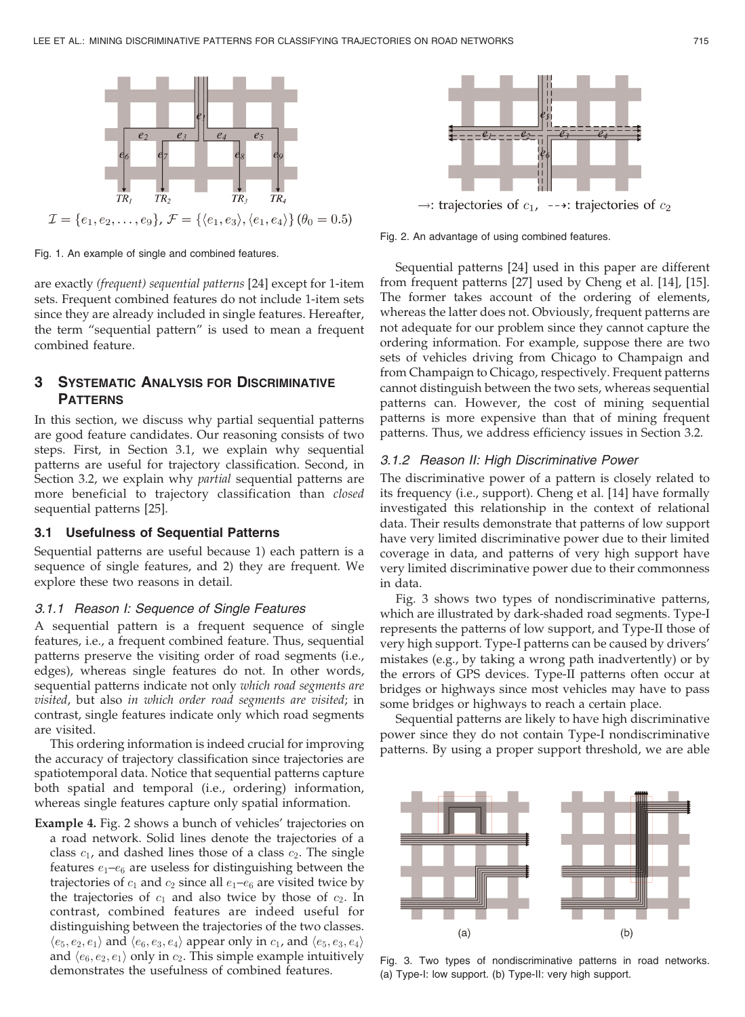

Fig. 1. An example of single and combined features.

are exactly (frequent) sequential patterns [24] except for 1-item sets. Frequent combined features do not include 1-item sets since they are already included in single features. Hereafter, the term "sequential pattern" is used to mean a frequent combined feature.

# **3 SYSTEMATIC ANALYSIS FOR DISCRIMINATIVE PATTERNS**

In this section, we discuss why partial sequential patterns are good feature candidates. Our reasoning consists of two steps. First, in Section 3.1, we explain why sequential patterns are useful for trajectory classification. Second, in Section 3.2, we explain why *partial* sequential patterns are more beneficial to trajectory classification than closed sequential patterns [25].

#### 3.1 Usefulness of Sequential Patterns

Sequential patterns are useful because 1) each pattern is a sequence of single features, and 2) they are frequent. We explore these two reasons in detail.

#### 3.1.1 Reason I: Sequence of Single Features

A sequential pattern is a frequent sequence of single features, i.e., a frequent combined feature. Thus, sequential patterns preserve the visiting order of road segments (i.e., edges), whereas single features do not. In other words, sequential patterns indicate not only which road segments are visited, but also in which order road segments are visited; in contrast, single features indicate only which road segments are visited.

This ordering information is indeed crucial for improving the accuracy of trajectory classification since trajectories are spatiotemporal data. Notice that sequential patterns capture both spatial and temporal (i.e., ordering) information, whereas single features capture only spatial information.

Example 4. Fig. 2 shows a bunch of vehicles' trajectories on a road network. Solid lines denote the trajectories of a class  $c_1$ , and dashed lines those of a class  $c_2$ . The single features  $e_1-e_6$  are useless for distinguishing between the trajectories of  $c_1$  and  $c_2$  since all  $e_1-e_6$  are visited twice by the trajectories of  $c_1$  and also twice by those of  $c_2$ . In contrast, combined features are indeed useful for distinguishing between the trajectories of the two classes.  $\langle e_5, e_2, e_1 \rangle$  and  $\langle e_6, e_3, e_4 \rangle$  appear only in  $c_1$ , and  $\langle e_5, e_3, e_4 \rangle$ and  $\langle e_6, e_2, e_1 \rangle$  only in  $c_2$ . This simple example intuitively demonstrates the usefulness of combined features.



→: trajectories of  $c_1$ , --+: trajectories of  $c_2$ 

Fig. 2. An advantage of using combined features.

Sequential patterns [24] used in this paper are different from frequent patterns [27] used by Cheng et al. [14], [15]. The former takes account of the ordering of elements, whereas the latter does not. Obviously, frequent patterns are not adequate for our problem since they cannot capture the ordering information. For example, suppose there are two sets of vehicles driving from Chicago to Champaign and from Champaign to Chicago, respectively. Frequent patterns cannot distinguish between the two sets, whereas sequential patterns can. However, the cost of mining sequential patterns is more expensive than that of mining frequent patterns. Thus, we address efficiency issues in Section 3.2.

## 3.1.2 Reason II: High Discriminative Power

The discriminative power of a pattern is closely related to its frequency (i.e., support). Cheng et al. [14] have formally investigated this relationship in the context of relational data. Their results demonstrate that patterns of low support have very limited discriminative power due to their limited coverage in data, and patterns of very high support have very limited discriminative power due to their commonness in data.

Fig. 3 shows two types of nondiscriminative patterns, which are illustrated by dark-shaded road segments. Type-I represents the patterns of low support, and Type-II those of very high support. Type-I patterns can be caused by drivers' mistakes (e.g., by taking a wrong path inadvertently) or by the errors of GPS devices. Type-II patterns often occur at bridges or highways since most vehicles may have to pass some bridges or highways to reach a certain place.

Sequential patterns are likely to have high discriminative power since they do not contain Type-I nondiscriminative patterns. By using a proper support threshold, we are able



Fig. 3. Two types of nondiscriminative patterns in road networks. (a) Type-I: low support. (b) Type-II: very high support.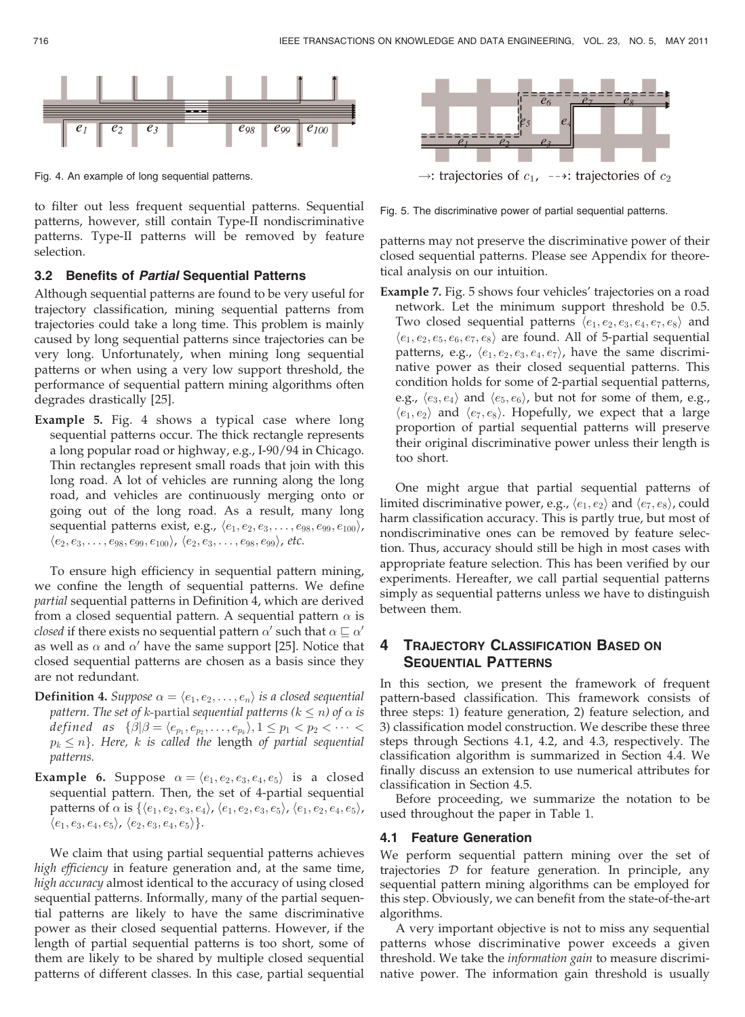

Fig. 4. An example of long sequential patterns.

to filter out less frequent sequential patterns. Sequential patterns, however, still contain Type-II nondiscriminative patterns. Type-II patterns will be removed by feature selection.

#### 3.2 Benefits of Partial Sequential Patterns

Although sequential patterns are found to be very useful for trajectory classification, mining sequential patterns from trajectories could take a long time. This problem is mainly caused by long sequential patterns since trajectories can be very long. Unfortunately, when mining long sequential patterns or when using a very low support threshold, the performance of sequential pattern mining algorithms often degrades drastically [25].

Example 5. Fig. 4 shows a typical case where long sequential patterns occur. The thick rectangle represents a long popular road or highway, e.g., I-90/94 in Chicago. Thin rectangles represent small roads that join with this long road. A lot of vehicles are running along the long road, and vehicles are continuously merging onto or going out of the long road. As a result, many long sequential patterns exist, e.g.,  $\langle e_1, e_2, e_3, \ldots, e_{98}, e_{99}, e_{100} \rangle$ ,  $\langle e_2, e_3, \ldots, e_{98}, e_{99}, e_{100} \rangle, \langle e_2, e_3, \ldots, e_{98}, e_{99} \rangle$ , etc.

To ensure high efficiency in sequential pattern mining, we confine the length of sequential patterns. We define partial sequential patterns in Definition 4, which are derived from a closed sequential pattern. A sequential pattern  $\alpha$  is *closed* if there exists no sequential pattern  $\alpha'$  such that  $\alpha \sqsubseteq \alpha'$ as well as  $\alpha$  and  $\alpha'$  have the same support [25]. Notice that closed sequential patterns are chosen as a basis since they are not redundant.

- **Definition 4.** Suppose  $\alpha = \langle e_1, e_2, \ldots, e_n \rangle$  is a closed sequential pattern. The set of k-partial sequential patterns ( $k\leq n$ ) of  $\alpha$  is defined as  $\{\beta | \beta = \langle e_{p_1}, e_{p_2}, \ldots, e_{p_k} \rangle, 1 \leq p_1 < p_2 < \cdots <$  $p_k \leq n \}.$  Here,  $k$  is called the length of partial sequential patterns.
- **Example 6.** Suppose  $\alpha = \langle e_1, e_2, e_3, e_4, e_5 \rangle$  is a closed sequential pattern. Then, the set of 4-partial sequential patterns of  $\alpha$  is  $\{\langle e_1,e_2,e_3,e_4\rangle$ ,  $\langle e_1,e_2,e_3,e_5\rangle$ ,  $\langle e_1,e_2,e_4,e_5\rangle$ ,  $\langle e_1, e_3, e_4, e_5 \rangle, \langle e_2, e_3, e_4, e_5 \rangle \}.$

We claim that using partial sequential patterns achieves high efficiency in feature generation and, at the same time, high accuracy almost identical to the accuracy of using closed sequential patterns. Informally, many of the partial sequential patterns are likely to have the same discriminative power as their closed sequential patterns. However, if the length of partial sequential patterns is too short, some of them are likely to be shared by multiple closed sequential patterns of different classes. In this case, partial sequential



Fig. 5. The discriminative power of partial sequential patterns.

patterns may not preserve the discriminative power of their closed sequential patterns. Please see Appendix for theoretical analysis on our intuition.

Example 7. Fig. 5 shows four vehicles' trajectories on a road network. Let the minimum support threshold be 0.5. Two closed sequential patterns  $\langle e_1, e_2, e_3, e_4, e_7, e_8 \rangle$  and  $\langle e_1, e_2, e_5, e_6, e_7, e_8 \rangle$  are found. All of 5-partial sequential patterns, e.g.,  $\langle e_1, e_2, e_3, e_4, e_7 \rangle$ , have the same discriminative power as their closed sequential patterns. This condition holds for some of 2-partial sequential patterns, e.g.,  $\langle e_3, e_4 \rangle$  and  $\langle e_5, e_6 \rangle$ , but not for some of them, e.g.,  $\langle e_1, e_2 \rangle$  and  $\langle e_7, e_8 \rangle$ . Hopefully, we expect that a large proportion of partial sequential patterns will preserve their original discriminative power unless their length is too short.

One might argue that partial sequential patterns of limited discriminative power, e.g.,  $\langle e_1, e_2 \rangle$  and  $\langle e_7, e_8 \rangle$ , could harm classification accuracy. This is partly true, but most of nondiscriminative ones can be removed by feature selection. Thus, accuracy should still be high in most cases with appropriate feature selection. This has been verified by our experiments. Hereafter, we call partial sequential patterns simply as sequential patterns unless we have to distinguish between them.

# 4 TRAJECTORY CLASSIFICATION BASED ON SEQUENTIAL PATTERNS

In this section, we present the framework of frequent pattern-based classification. This framework consists of three steps: 1) feature generation, 2) feature selection, and 3) classification model construction. We describe these three steps through Sections 4.1, 4.2, and 4.3, respectively. The classification algorithm is summarized in Section 4.4. We finally discuss an extension to use numerical attributes for classification in Section 4.5.

Before proceeding, we summarize the notation to be used throughout the paper in Table 1.

# 4.1 Feature Generation

We perform sequential pattern mining over the set of trajectories D for feature generation. In principle, any sequential pattern mining algorithms can be employed for this step. Obviously, we can benefit from the state-of-the-art algorithms.

A very important objective is not to miss any sequential patterns whose discriminative power exceeds a given threshold. We take the information gain to measure discriminative power. The information gain threshold is usually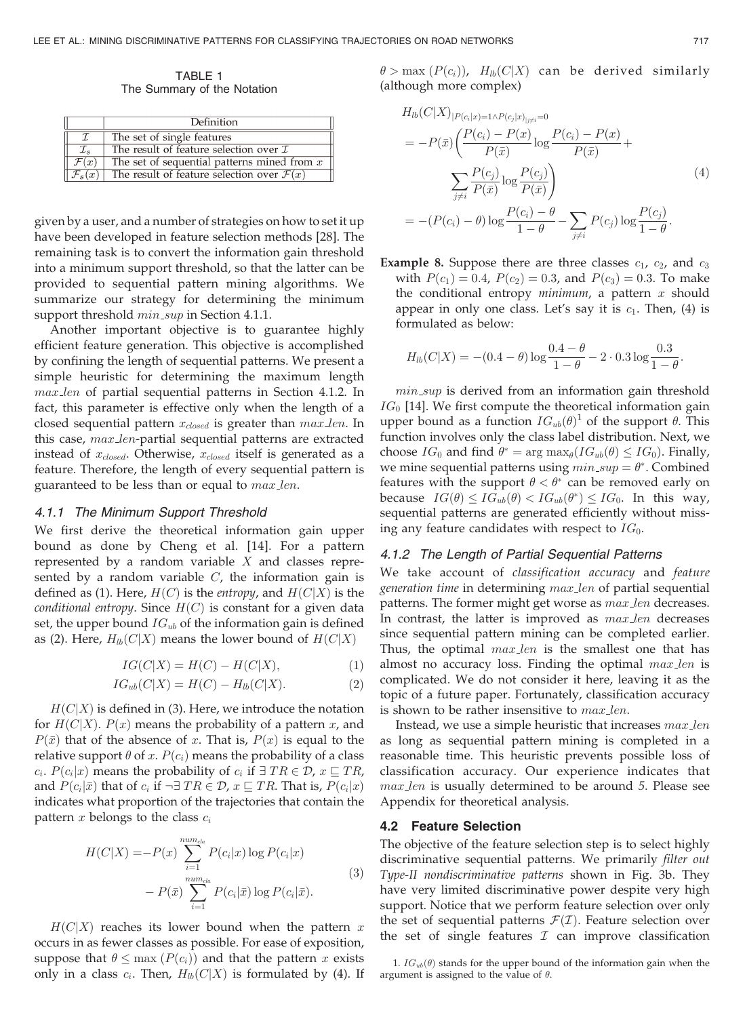TABLE 1 The Summary of the Notation

|                    | Definition                                            |  |  |  |  |
|--------------------|-------------------------------------------------------|--|--|--|--|
| $\tau$             | The set of single features                            |  |  |  |  |
| $\mathcal{I}_s$    | The result of feature selection over $\mathcal I$     |  |  |  |  |
| $\mathcal{F}(x)$   | The set of sequential patterns mined from $x$         |  |  |  |  |
| $\mathcal{F}_s(x)$ | The result of feature selection over $\mathcal{F}(x)$ |  |  |  |  |

given by a user, and a number of strategies on how to set it up have been developed in feature selection methods [28]. The remaining task is to convert the information gain threshold into a minimum support threshold, so that the latter can be provided to sequential pattern mining algorithms. We summarize our strategy for determining the minimum support threshold  $min\_sup$  in Section 4.1.1.

Another important objective is to guarantee highly efficient feature generation. This objective is accomplished by confining the length of sequential patterns. We present a simple heuristic for determining the maximum length max len of partial sequential patterns in Section 4.1.2. In fact, this parameter is effective only when the length of a closed sequential pattern  $x_{closed}$  is greater than  $max\_len$ . In this case, max\_len-partial sequential patterns are extracted instead of  $x_{closed}$ . Otherwise,  $x_{closed}$  itself is generated as a feature. Therefore, the length of every sequential pattern is guaranteed to be less than or equal to  $max\_len$ .

# 4.1.1 The Minimum Support Threshold

We first derive the theoretical information gain upper bound as done by Cheng et al. [14]. For a pattern represented by a random variable  $X$  and classes represented by a random variable  $C$ , the information gain is defined as (1). Here,  $H(C)$  is the entropy, and  $H(C|X)$  is the conditional entropy. Since  $H(C)$  is constant for a given data set, the upper bound  $IG_{ub}$  of the information gain is defined as (2). Here,  $H_{lb}(C|X)$  means the lower bound of  $H(C|X)$ 

$$
IG(C|X) = H(C) - H(C|X),\tag{1}
$$

$$
IG_{ub}(C|X) = H(C) - H_{lb}(C|X).
$$
 (2)

 $H(C|X)$  is defined in (3). Here, we introduce the notation for  $H(C|X)$ .  $P(x)$  means the probability of a pattern x, and  $P(\bar{x})$  that of the absence of x. That is,  $P(x)$  is equal to the relative support  $\theta$  of x.  $P(c_i)$  means the probability of a class  $c_i$ .  $P(c_i|x)$  means the probability of  $c_i$  if  $\exists TR \in \mathcal{D}$ ,  $x \sqsubseteq TR$ , and  $P(c_i|\bar{x})$  that of  $c_i$  if  $\neg \exists TR \in \mathcal{D}$ ,  $x \sqsubseteq TR$ . That is,  $P(c_i|x)$ indicates what proportion of the trajectories that contain the pattern  $x$  belongs to the class  $c_i$ 

$$
H(C|X) = -P(x) \sum_{i=1}^{num_{cla}} P(c_i|x) \log P(c_i|x)
$$
  
- 
$$
P(\bar{x}) \sum_{i=1}^{num_{cla}} P(c_i|\bar{x}) \log P(c_i|\bar{x}).
$$
 (3)

 $H(C|X)$  reaches its lower bound when the pattern x occurs in as fewer classes as possible. For ease of exposition, suppose that  $\theta \leq \max(P(c_i))$  and that the pattern x exists only in a class  $c_i$ . Then,  $H_{lb}(C|X)$  is formulated by (4). If  $\theta > \max(P(c_i))$ ,  $H_{lb}(C|X)$  can be derived similarly (although more complex)

$$
H_{lb}(C|X)_{|P(c_i|x)=1 \wedge P(c_j|x)_{|j\neq i}=0}
$$
  
=  $-P(\bar{x}) \left( \frac{P(c_i) - P(x)}{P(\bar{x})} \log \frac{P(c_i) - P(x)}{P(\bar{x})} + \frac{\sum_{j\neq i} \frac{P(c_j)}{P(\bar{x})} \log \frac{P(c_j)}{P(\bar{x})}}{\sum_{j\neq i} \frac{P(c_j) - \theta}{1 - \theta} - \sum_{j\neq i} P(c_j) \log \frac{P(c_j)}{1 - \theta}} \right)$   
=  $-(P(c_i) - \theta) \log \frac{P(c_i) - \theta}{1 - \theta} - \sum_{j\neq i} P(c_j) \log \frac{P(c_j)}{1 - \theta}.$  (4)

**Example 8.** Suppose there are three classes  $c_1$ ,  $c_2$ , and  $c_3$ with  $P(c_1) = 0.4$ ,  $P(c_2) = 0.3$ , and  $P(c_3) = 0.3$ . To make the conditional entropy  $minimum$ , a pattern  $x$  should appear in only one class. Let's say it is  $c_1$ . Then, (4) is formulated as below:

$$
H_{lb}(C|X) = -(0.4 - \theta) \log \frac{0.4 - \theta}{1 - \theta} - 2 \cdot 0.3 \log \frac{0.3}{1 - \theta}.
$$

min sup is derived from an information gain threshold  $IG<sub>0</sub>$  [14]. We first compute the theoretical information gain upper bound as a function  $IG_{ub}(\theta)$ <sup>1</sup> of the support  $\theta$ . This function involves only the class label distribution. Next, we choose  $IG_0$  and find  $\theta^* = \arg \max_{\theta} (IG_{ub}(\theta) \leq IG_0)$ . Finally, we mine sequential patterns using  $min\_sup = \theta^*$ . Combined features with the support  $\theta < \theta^*$  can be removed early on because  $IG(\theta) \leq IG_{ub}(\theta) < IG_{ub}(\theta^*) \leq IG_0$ . In this way, sequential patterns are generated efficiently without missing any feature candidates with respect to  $IG_0$ .

## 4.1.2 The Length of Partial Sequential Patterns

We take account of classification accuracy and feature generation time in determining max len of partial sequential patterns. The former might get worse as  $max$  len decreases. In contrast, the latter is improved as  $max\_len$  decreases since sequential pattern mining can be completed earlier. Thus, the optimal  $max\_len$  is the smallest one that has almost no accuracy loss. Finding the optimal  $max\_len$  is complicated. We do not consider it here, leaving it as the topic of a future paper. Fortunately, classification accuracy is shown to be rather insensitive to max len.

Instead, we use a simple heuristic that increases max len as long as sequential pattern mining is completed in a reasonable time. This heuristic prevents possible loss of classification accuracy. Our experience indicates that max len is usually determined to be around 5. Please see Appendix for theoretical analysis.

#### 4.2 Feature Selection

The objective of the feature selection step is to select highly discriminative sequential patterns. We primarily filter out Type-II nondiscriminative patterns shown in Fig. 3b. They have very limited discriminative power despite very high support. Notice that we perform feature selection over only the set of sequential patterns  $\mathcal{F}(\mathcal{I})$ . Feature selection over the set of single features  $I$  can improve classification

<sup>1.</sup>  $IG_{ub}(\theta)$  stands for the upper bound of the information gain when the argument is assigned to the value of  $\theta$ .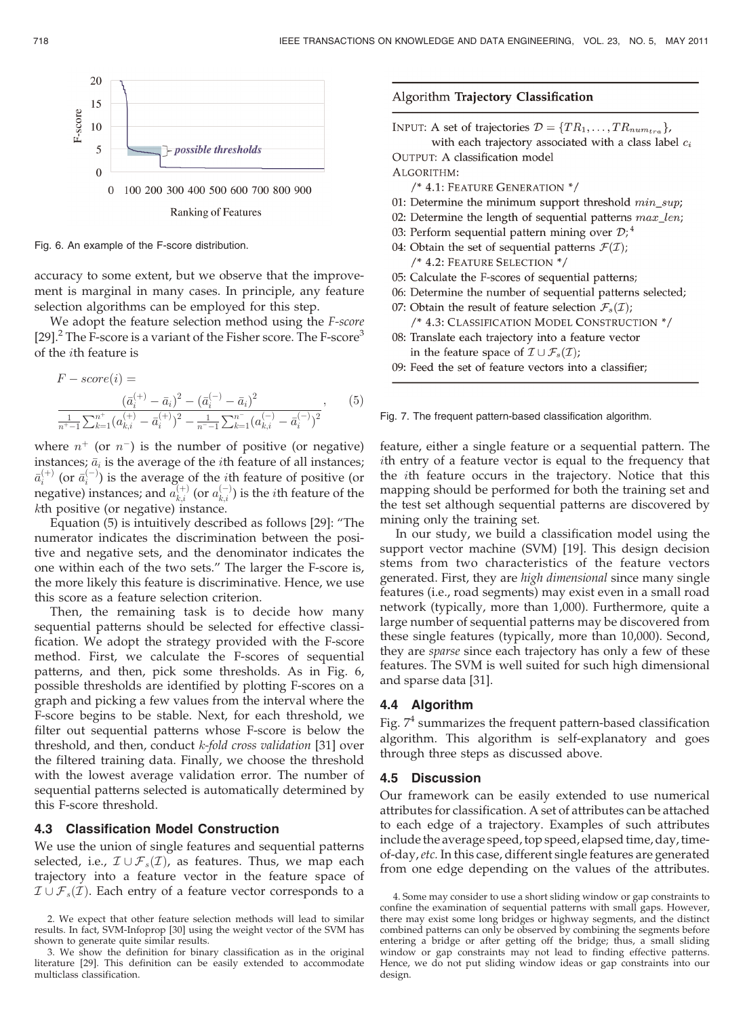

Fig. 6. An example of the F-score distribution.

accuracy to some extent, but we observe that the improvement is marginal in many cases. In principle, any feature selection algorithms can be employed for this step.

We adopt the feature selection method using the F-score [29].<sup>2</sup> The F-score is a variant of the Fisher score. The F-score<sup>3</sup> of the ith feature is

$$
F-score(i) =
$$
  
\n
$$
\frac{(\bar{a}_{i}^{(+)} - \bar{a}_{i})^{2} - (\bar{a}_{i}^{(-)} - \bar{a}_{i})^{2}}{\frac{1}{n^{+}-1} \sum_{k=1}^{n^{+}} (a_{k,i}^{(+)} - \bar{a}_{i}^{(+)})^{2} - \frac{1}{n^{+}-1} \sum_{k=1}^{n^{-}} (a_{k,i}^{(-)} - \bar{a}_{i}^{(-)})^{2}},
$$
\n(5)

where  $n^{+}$  (or  $n^{-}$ ) is the number of positive (or negative) instances;  $\bar{a}_i$  is the average of the *i*th feature of all instances;  $\bar{a}_i^{(+)}$  (or  $\bar{a}_i^{(-)}$ ) is the average of the *i*th feature of positive (or negative) instances; and  $a_{k,i}^{(+)}$  (or  $a_{k,i}^{(-)}$ ) is the *i*th feature of the kth positive (or negative) instance.

Equation (5) is intuitively described as follows [29]: "The numerator indicates the discrimination between the positive and negative sets, and the denominator indicates the one within each of the two sets." The larger the F-score is, the more likely this feature is discriminative. Hence, we use this score as a feature selection criterion.

Then, the remaining task is to decide how many sequential patterns should be selected for effective classification. We adopt the strategy provided with the F-score method. First, we calculate the F-scores of sequential patterns, and then, pick some thresholds. As in Fig. 6, possible thresholds are identified by plotting F-scores on a graph and picking a few values from the interval where the F-score begins to be stable. Next, for each threshold, we filter out sequential patterns whose F-score is below the threshold, and then, conduct  $k$ -fold cross validation [31] over the filtered training data. Finally, we choose the threshold with the lowest average validation error. The number of sequential patterns selected is automatically determined by this F-score threshold.

# 4.3 Classification Model Construction

We use the union of single features and sequential patterns selected, i.e.,  $\mathcal{I}\cup\mathcal{F}_s(\mathcal{I})$ , as features. Thus, we map each trajectory into a feature vector in the feature space of  $\mathcal{I}\cup\mathcal{F}_s(\mathcal{I})$ . Each entry of a feature vector corresponds to a

# Algorithm Trajectory Classification

INPUT: A set of trajectories  $\mathcal{D} = \{TR_1, \ldots, TR_{num_{tra}}\},\$ with each trajectory associated with a class label  $c_i$ OUTPUT: A classification model ALGORITHM: /\* 4.1: FEATURE GENERATION \*/ 01: Determine the minimum support threshold  $min\_sup$ ; 02: Determine the length of sequential patterns  $max\_len;$ 

- 03: Perform sequential pattern mining over  $\mathcal{D}$ ; 4
- 04: Obtain the set of sequential patterns  $\mathcal{F}(\mathcal{I})$ ; /\* 4.2: FEATURE SELECTION \*/
- 05: Calculate the F-scores of sequential patterns;
- 06: Determine the number of sequential patterns selected;
- 07: Obtain the result of feature selection  $\mathcal{F}_s(\mathcal{I})$ ;
	- /\* 4.3: CLASSIFICATION MODEL CONSTRUCTION \*/
- 08: Translate each trajectory into a feature vector in the feature space of  $\mathcal{I} \cup \mathcal{F}_s(\mathcal{I})$ ;
- 09: Feed the set of feature vectors into a classifier;

Fig. 7. The frequent pattern-based classification algorithm.

feature, either a single feature or a sequential pattern. The ith entry of a feature vector is equal to the frequency that the ith feature occurs in the trajectory. Notice that this mapping should be performed for both the training set and the test set although sequential patterns are discovered by mining only the training set.

In our study, we build a classification model using the support vector machine (SVM) [19]. This design decision stems from two characteristics of the feature vectors generated. First, they are high dimensional since many single features (i.e., road segments) may exist even in a small road network (typically, more than 1,000). Furthermore, quite a large number of sequential patterns may be discovered from these single features (typically, more than 10,000). Second, they are sparse since each trajectory has only a few of these features. The SVM is well suited for such high dimensional and sparse data [31].

# 4.4 Algorithm

Fig.  $7<sup>4</sup>$  summarizes the frequent pattern-based classification algorithm. This algorithm is self-explanatory and goes through three steps as discussed above.

#### 4.5 Discussion

Our framework can be easily extended to use numerical attributes for classification. A set of attributes can be attached to each edge of a trajectory. Examples of such attributes include the average speed, top speed, elapsed time, day, timeof-day,etc. In this case, different single features are generated from one edge depending on the values of the attributes.

<sup>2.</sup> We expect that other feature selection methods will lead to similar results. In fact, SVM-Infoprop [30] using the weight vector of the SVM has shown to generate quite similar results.

<sup>3.</sup> We show the definition for binary classification as in the original literature [29]. This definition can be easily extended to accommodate multiclass classification.

<sup>4.</sup> Some may consider to use a short sliding window or gap constraints to confine the examination of sequential patterns with small gaps. However, there may exist some long bridges or highway segments, and the distinct combined patterns can only be observed by combining the segments before entering a bridge or after getting off the bridge; thus, a small sliding window or gap constraints may not lead to finding effective patterns. Hence, we do not put sliding window ideas or gap constraints into our design.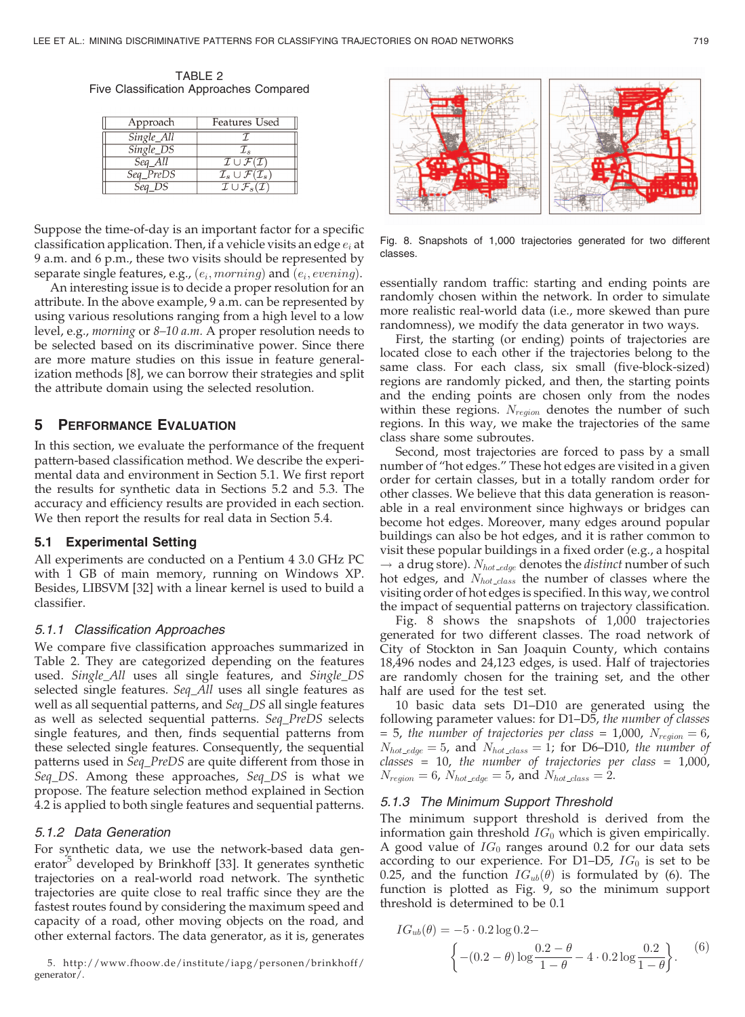TARIF<sub>2</sub> Five Classification Approaches Compared

| Approach   | Features Used                                          |
|------------|--------------------------------------------------------|
| Single_All |                                                        |
| Single_DS  | $\mathcal{I}_s$                                        |
| $Seq$ All  | $\mathcal{I}\cup\mathcal{F}(\mathcal{I})$              |
| Seq_PreDS  | $\mathcal{I}_s\cup\mathcal{F}(\mathcal{I}_s)$          |
| Seq DS     | $\overline{\mathcal{I}\cup\mathcal{F}_s(\mathcal{I})}$ |

Suppose the time-of-day is an important factor for a specific classification application. Then, if a vehicle visits an edge  $e_i$  at 9 a.m. and 6 p.m., these two visits should be represented by separate single features, e.g.,  $(e_i, morning)$  and  $(e_i, evening)$ .

An interesting issue is to decide a proper resolution for an attribute. In the above example, 9 a.m. can be represented by using various resolutions ranging from a high level to a low level, e.g., morning or 8–10 a.m. A proper resolution needs to be selected based on its discriminative power. Since there are more mature studies on this issue in feature generalization methods [8], we can borrow their strategies and split the attribute domain using the selected resolution.

# 5 PERFORMANCE EVALUATION

In this section, we evaluate the performance of the frequent pattern-based classification method. We describe the experimental data and environment in Section 5.1. We first report the results for synthetic data in Sections 5.2 and 5.3. The accuracy and efficiency results are provided in each section. We then report the results for real data in Section 5.4.

#### 5.1 Experimental Setting

All experiments are conducted on a Pentium 4 3.0 GHz PC with 1 GB of main memory, running on Windows XP. Besides, LIBSVM [32] with a linear kernel is used to build a classifier.

#### 5.1.1 Classification Approaches

We compare five classification approaches summarized in Table 2. They are categorized depending on the features used. Single\_All uses all single features, and Single\_DS selected single features. Seq\_All uses all single features as well as all sequential patterns, and Seq\_DS all single features as well as selected sequential patterns. Seq\_PreDS selects single features, and then, finds sequential patterns from these selected single features. Consequently, the sequential patterns used in Seq\_PreDS are quite different from those in Seq\_DS. Among these approaches, Seq\_DS is what we propose. The feature selection method explained in Section 4.2 is applied to both single features and sequential patterns.

#### 5.1.2 Data Generation

For synthetic data, we use the network-based data generator<sup>5</sup> developed by Brinkhoff [33]. It generates synthetic trajectories on a real-world road network. The synthetic trajectories are quite close to real traffic since they are the fastest routes found by considering the maximum speed and capacity of a road, other moving objects on the road, and other external factors. The data generator, as it is, generates

5. http://www.fhoow.de/institute/iapg/personen/brinkhoff/ generator/.



Fig. 8. Snapshots of 1,000 trajectories generated for two different classes.

essentially random traffic: starting and ending points are randomly chosen within the network. In order to simulate more realistic real-world data (i.e., more skewed than pure randomness), we modify the data generator in two ways.

First, the starting (or ending) points of trajectories are located close to each other if the trajectories belong to the same class. For each class, six small (five-block-sized) regions are randomly picked, and then, the starting points and the ending points are chosen only from the nodes within these regions.  $N_{region}$  denotes the number of such regions. In this way, we make the trajectories of the same class share some subroutes.

Second, most trajectories are forced to pass by a small number of "hot edges." These hot edges are visited in a given order for certain classes, but in a totally random order for other classes. We believe that this data generation is reasonable in a real environment since highways or bridges can become hot edges. Moreover, many edges around popular buildings can also be hot edges, and it is rather common to visit these popular buildings in a fixed order (e.g., a hospital  $\rightarrow$  a drug store).  $N_{hot\_edge}$  denotes the *distinct* number of such hot edges, and  $N_{hot\_class}$  the number of classes where the visiting order of hot edges is specified. In this way, we control the impact of sequential patterns on trajectory classification.

Fig. 8 shows the snapshots of 1,000 trajectories generated for two different classes. The road network of City of Stockton in San Joaquin County, which contains 18,496 nodes and 24,123 edges, is used. Half of trajectories are randomly chosen for the training set, and the other half are used for the test set.

10 basic data sets D1–D10 are generated using the following parameter values: for D1–D5, the number of classes = 5, the number of trajectories per class = 1,000,  $N_{region} = 6$ ,  $N_{hot\_edge} = 5$ , and  $N_{hot\_class} = 1$ ; for D6–D10, the number of  $classes = 10$ , the number of trajectories per class = 1,000,  $N_{region} = 6$ ,  $N_{hot\_edge} = 5$ , and  $N_{hot\_class} = 2$ .

## 5.1.3 The Minimum Support Threshold

The minimum support threshold is derived from the information gain threshold  $IG_0$  which is given empirically. A good value of  $IG_0$  ranges around 0.2 for our data sets according to our experience. For D1-D5,  $IG_0$  is set to be 0.25, and the function  $IG_{ub}(\theta)$  is formulated by (6). The function is plotted as Fig. 9, so the minimum support threshold is determined to be 0.1

$$
IG_{ub}(\theta) = -5 \cdot 0.2 \log 0.2 -
$$
  

$$
\left\{ -(0.2 - \theta) \log \frac{0.2 - \theta}{1 - \theta} - 4 \cdot 0.2 \log \frac{0.2}{1 - \theta} \right\}.
$$
 (6)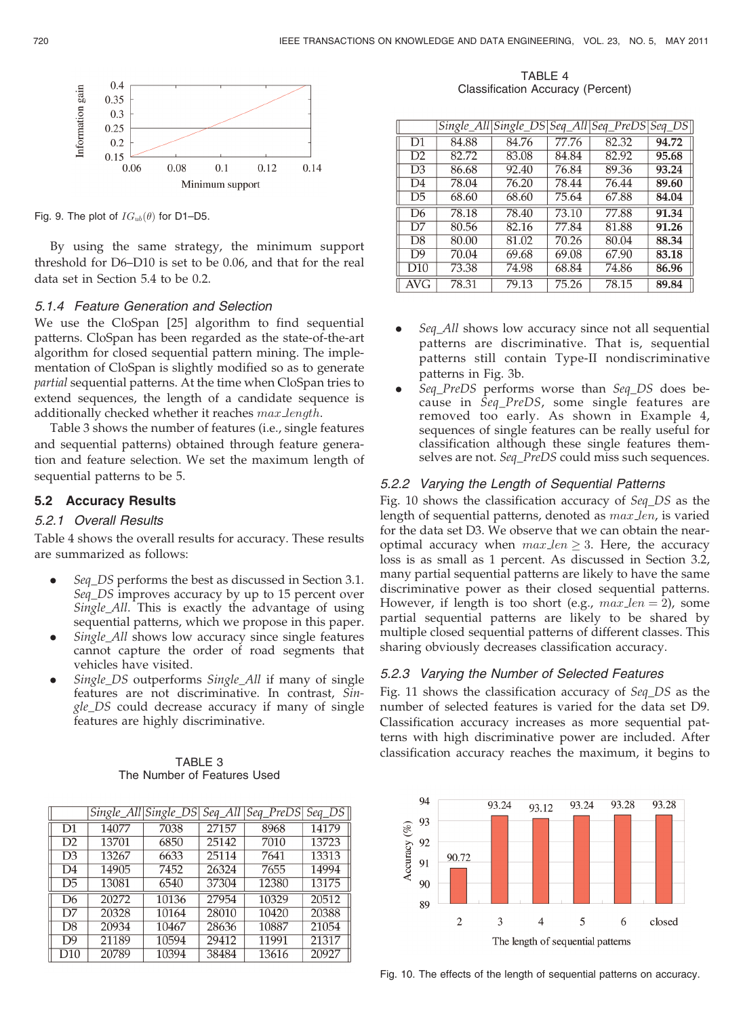

Fig. 9. The plot of  $IG_{ub}(\theta)$  for D1–D5.

By using the same strategy, the minimum support threshold for D6–D10 is set to be 0.06, and that for the real data set in Section 5.4 to be 0.2.

# 5.1.4 Feature Generation and Selection

We use the CloSpan [25] algorithm to find sequential patterns. CloSpan has been regarded as the state-of-the-art algorithm for closed sequential pattern mining. The implementation of CloSpan is slightly modified so as to generate partial sequential patterns. At the time when CloSpan tries to extend sequences, the length of a candidate sequence is additionally checked whether it reaches max length.

Table 3 shows the number of features (i.e., single features and sequential patterns) obtained through feature generation and feature selection. We set the maximum length of sequential patterns to be 5.

# 5.2 Accuracy Results

# 5.2.1 Overall Results

Table 4 shows the overall results for accuracy. These results are summarized as follows:

- . Seq\_DS performs the best as discussed in Section 3.1. Seq\_DS improves accuracy by up to 15 percent over Single\_All. This is exactly the advantage of using sequential patterns, which we propose in this paper.
- . Single\_All shows low accuracy since single features cannot capture the order of road segments that vehicles have visited.
- . Single\_DS outperforms Single\_All if many of single features are not discriminative. In contrast, Single\_DS could decrease accuracy if many of single features are highly discriminative.

| TABLE 3                     |  |  |  |  |  |  |
|-----------------------------|--|--|--|--|--|--|
| The Number of Features Used |  |  |  |  |  |  |

|                |       | Single All Single DS |       | Seq_All   Seq_PreDS | $Seq_DS$ |
|----------------|-------|----------------------|-------|---------------------|----------|
| D1             | 14077 | 7038                 | 27157 | 8968                | 14179    |
| D <sub>2</sub> | 13701 | 6850                 | 25142 | 7010                | 13723    |
| D3             | 13267 | 6633                 | 25114 | 7641                | 13313    |
| D4             | 14905 | 7452                 | 26324 | 7655                | 14994    |
| D5             | 13081 | 6540                 | 37304 | 12380               | 13175    |
| D6             | 20272 | 10136                | 27954 | 10329               | 20512    |
| D7             | 20328 | 10164                | 28010 | 10420               | 20388    |
| D8             | 20934 | 10467                | 28636 | 10887               | 21054    |
| D9             | 21189 | 10594                | 29412 | 11991               | 21317    |
| D10            | 20789 | 10394                | 38484 | 13616               | 20927    |

TABLE 4 Classification Accuracy (Percent)

|                |       |       |       | Single_All Single_DS Seq_All Seq_PreDS Seq_DS |       |
|----------------|-------|-------|-------|-----------------------------------------------|-------|
| D1             | 84.88 | 84.76 | 77.76 | 82.32                                         | 94.72 |
| D <sub>2</sub> | 82.72 | 83.08 | 84.84 | 82.92                                         | 95.68 |
| D3             | 86.68 | 92.40 | 76.84 | 89.36                                         | 93.24 |
| D4             | 78.04 | 76.20 | 78.44 | 76.44                                         | 89.60 |
| D5             | 68.60 | 68.60 | 75.64 | 67.88                                         | 84.04 |
| D6             | 78.18 | 78.40 | 73.10 | 77.88                                         | 91.34 |
| D7             | 80.56 | 82.16 | 77.84 | 81.88                                         | 91.26 |
| D8             | 80.00 | 81.02 | 70.26 | 80.04                                         | 88.34 |
| D9             | 70.04 | 69.68 | 69.08 | 67.90                                         | 83.18 |
| D10            | 73.38 | 74.98 | 68.84 | 74.86                                         | 86.96 |
| AVG            | 78.31 | 79.13 | 75.26 | 78.15                                         | 89.84 |

- Seq All shows low accuracy since not all sequential patterns are discriminative. That is, sequential patterns still contain Type-II nondiscriminative patterns in Fig. 3b.
- . Seq\_PreDS performs worse than Seq\_DS does because in Seq\_PreDS, some single features are removed too early. As shown in Example 4, sequences of single features can be really useful for classification although these single features themselves are not. Seq\_PreDS could miss such sequences.

# 5.2.2 Varying the Length of Sequential Patterns

Fig. 10 shows the classification accuracy of Seq\_DS as the length of sequential patterns, denoted as max len, is varied for the data set D3. We observe that we can obtain the nearoptimal accuracy when  $max\_len \geq 3$ . Here, the accuracy loss is as small as 1 percent. As discussed in Section 3.2, many partial sequential patterns are likely to have the same discriminative power as their closed sequential patterns. However, if length is too short (e.g.,  $max\_len = 2$ ), some partial sequential patterns are likely to be shared by multiple closed sequential patterns of different classes. This sharing obviously decreases classification accuracy.

# 5.2.3 Varying the Number of Selected Features

Fig. 11 shows the classification accuracy of Seq\_DS as the number of selected features is varied for the data set D9. Classification accuracy increases as more sequential patterns with high discriminative power are included. After classification accuracy reaches the maximum, it begins to



Fig. 10. The effects of the length of sequential patterns on accuracy.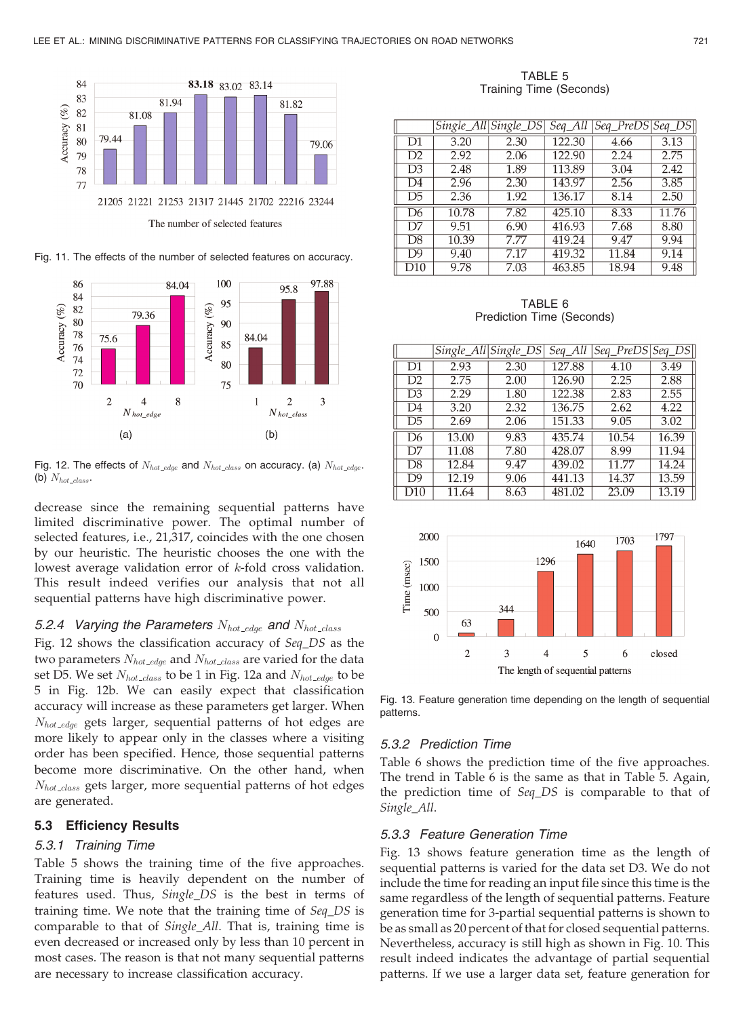

Fig. 11. The effects of the number of selected features on accuracy.



Fig. 12. The effects of  $N_{hot\_edge}$  and  $N_{hot\_class}$  on accuracy. (a)  $N_{hot\_edge}$ . (b)  $N_{hot\_class}$ .

decrease since the remaining sequential patterns have limited discriminative power. The optimal number of selected features, i.e., 21,317, coincides with the one chosen by our heuristic. The heuristic chooses the one with the lowest average validation error of k-fold cross validation. This result indeed verifies our analysis that not all sequential patterns have high discriminative power.

# 5.2.4 Varying the Parameters  $N_{hot\_edge}$  and  $N_{hot\_class}$

Fig. 12 shows the classification accuracy of Seq\_DS as the two parameters  $N_{hot\_edge}$  and  $N_{hot\_class}$  are varied for the data set D5. We set  $N_{hot\_class}$  to be 1 in Fig. 12a and  $N_{hot\_edge}$  to be 5 in Fig. 12b. We can easily expect that classification accuracy will increase as these parameters get larger. When  $N_{hot\_{edge} edge}$  gets larger, sequential patterns of hot edges are more likely to appear only in the classes where a visiting order has been specified. Hence, those sequential patterns become more discriminative. On the other hand, when  $N_{hot\_class}$  gets larger, more sequential patterns of hot edges are generated.

# 5.3 Efficiency Results

# 5.3.1 Training Time

Table 5 shows the training time of the five approaches. Training time is heavily dependent on the number of features used. Thus, Single\_DS is the best in terms of training time. We note that the training time of Seq\_DS is comparable to that of Single\_All. That is, training time is even decreased or increased only by less than 10 percent in most cases. The reason is that not many sequential patterns are necessary to increase classification accuracy.

TABLE 5 Training Time (Seconds)

|     |       | Single_All Single_DS |        | Seq_All  Seq_PreDS | $Seq$ $DS$ |
|-----|-------|----------------------|--------|--------------------|------------|
| D1  | 3.20  | 2.30                 | 122.30 | 4.66               | 3.13       |
| D2  | 2.92  | 2.06                 | 122.90 | 2.24               | 2.75       |
| D3  | 2.48  | 1.89                 | 113.89 | 3.04               | 2.42       |
| D4  | 2.96  | 2.30                 | 143.97 | 2.56               | 3.85       |
| D5  | 2.36  | 1.92                 | 136.17 | 8.14               | 2.50       |
| D6  | 10.78 | 7.82                 | 425.10 | 8.33               | 11.76      |
| D7  | 9.51  | 6.90                 | 416.93 | 7.68               | 8.80       |
| D8  | 10.39 | 7.77                 | 419.24 | 9.47               | 9.94       |
| D9  | 9.40  | 7.17                 | 419.32 | 11.84              | 9.14       |
| D10 | 9.78  | 7.03                 | 463.85 | 18.94              | 9.48       |

TABLE 6 Prediction Time (Seconds)

|                |       | Single_All Single_DS |        | Seq_All  Seq_PreDS | $Seq$ <sub>_</sub> $DS$ ] |
|----------------|-------|----------------------|--------|--------------------|---------------------------|
| D1             | 2.93  | 2.30                 | 127.88 | 4.10               | 3.49                      |
| D <sub>2</sub> | 2.75  | 2.00                 | 126.90 | 2.25               | 2.88                      |
| D3             | 2.29  | 1.80                 | 122.38 | 2.83               | 2.55                      |
| D4             | 3.20  | 2.32                 | 136.75 | 2.62               | 4.22                      |
| D5             | 2.69  | 2.06                 | 151.33 | 9.05               | 3.02                      |
| D6             | 13.00 | 9.83                 | 435.74 | 10.54              | 16.39                     |
| D7             | 11.08 | 7.80                 | 428.07 | 8.99               | 11.94                     |
| D8             | 12.84 | 9.47                 | 439.02 | 11.77              | 14.24                     |
| D9             | 12.19 | 9.06                 | 441.13 | 14.37              | 13.59                     |
| D10            | 11.64 | 8.63                 | 481.02 | 23.09              | 13.19                     |



Fig. 13. Feature generation time depending on the length of sequential patterns.

# 5.3.2 Prediction Time

Table 6 shows the prediction time of the five approaches. The trend in Table 6 is the same as that in Table 5. Again, the prediction time of Seq\_DS is comparable to that of Single\_All.

# 5.3.3 Feature Generation Time

Fig. 13 shows feature generation time as the length of sequential patterns is varied for the data set D3. We do not include the time for reading an input file since this time is the same regardless of the length of sequential patterns. Feature generation time for 3-partial sequential patterns is shown to be as small as 20 percent of that for closed sequential patterns. Nevertheless, accuracy is still high as shown in Fig. 10. This result indeed indicates the advantage of partial sequential patterns. If we use a larger data set, feature generation for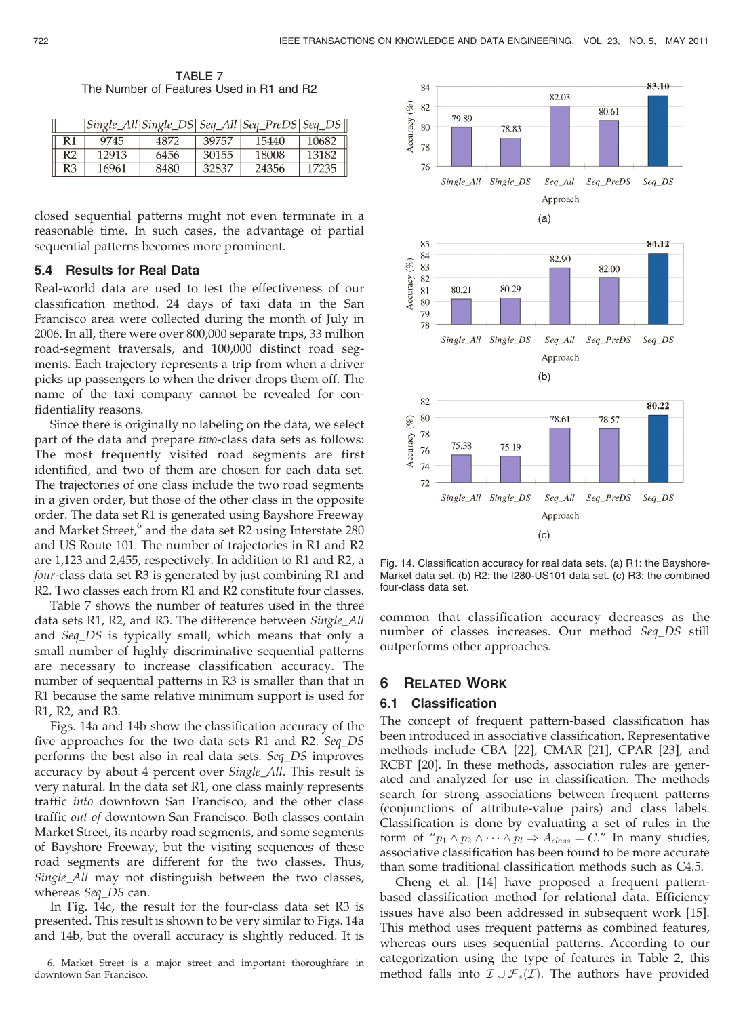TABLE 7 The Number of Features Used in R1 and R2

|    |       |      |       | Single_All Single_DS  Seq_All   Seq_PreDS   Seq_DS |       |
|----|-------|------|-------|----------------------------------------------------|-------|
| R1 | 9745  | 4872 | 39757 | 15440                                              | 10682 |
| R2 | 12913 | 6456 | 30155 | 18008                                              | 13182 |
| R3 | 16961 | 8480 | 32837 | 24356                                              | 17235 |

closed sequential patterns might not even terminate in a reasonable time. In such cases, the advantage of partial sequential patterns becomes more prominent.

#### 5.4 Results for Real Data

Real-world data are used to test the effectiveness of our classification method. 24 days of taxi data in the San Francisco area were collected during the month of July in 2006. In all, there were over 800,000 separate trips, 33 million road-segment traversals, and 100,000 distinct road segments. Each trajectory represents a trip from when a driver picks up passengers to when the driver drops them off. The name of the taxi company cannot be revealed for confidentiality reasons.

Since there is originally no labeling on the data, we select part of the data and prepare two-class data sets as follows: The most frequently visited road segments are first identified, and two of them are chosen for each data set. The trajectories of one class include the two road segments in a given order, but those of the other class in the opposite order. The data set R1 is generated using Bayshore Freeway and Market Street, $6$  and the data set R2 using Interstate 280 and US Route 101. The number of trajectories in R1 and R2 are 1,123 and 2,455, respectively. In addition to R1 and R2, a four-class data set R3 is generated by just combining R1 and R2. Two classes each from R1 and R2 constitute four classes.

Table 7 shows the number of features used in the three data sets R1, R2, and R3. The difference between Single\_All and Seq\_DS is typically small, which means that only a small number of highly discriminative sequential patterns are necessary to increase classification accuracy. The number of sequential patterns in R3 is smaller than that in R1 because the same relative minimum support is used for R1, R2, and R3.

Figs. 14a and 14b show the classification accuracy of the five approaches for the two data sets R1 and R2. Seq\_DS performs the best also in real data sets. Seq\_DS improves accuracy by about 4 percent over *Single\_All*. This result is very natural. In the data set R1, one class mainly represents traffic into downtown San Francisco, and the other class traffic out of downtown San Francisco. Both classes contain Market Street, its nearby road segments, and some segments of Bayshore Freeway, but the visiting sequences of these road segments are different for the two classes. Thus, Single\_All may not distinguish between the two classes, whereas Seq\_DS can.

In Fig. 14c, the result for the four-class data set R3 is presented. This result is shown to be very similar to Figs. 14a and 14b, but the overall accuracy is slightly reduced. It is



Fig. 14. Classification accuracy for real data sets. (a) R1: the Bayshore-Market data set. (b) R2: the I280-US101 data set. (c) R3: the combined four-class data set.

common that classification accuracy decreases as the number of classes increases. Our method Seq\_DS still outperforms other approaches.

# 6 RELATED WORK

#### 6.1 Classification

The concept of frequent pattern-based classification has been introduced in associative classification. Representative methods include CBA [22], CMAR [21], CPAR [23], and RCBT [20]. In these methods, association rules are generated and analyzed for use in classification. The methods search for strong associations between frequent patterns (conjunctions of attribute-value pairs) and class labels. Classification is done by evaluating a set of rules in the form of " $p_1 \wedge p_2 \wedge \cdots \wedge p_l \Rightarrow A_{class} = C$ ." In many studies, associative classification has been found to be more accurate than some traditional classification methods such as C4.5.

Cheng et al. [14] have proposed a frequent patternbased classification method for relational data. Efficiency issues have also been addressed in subsequent work [15]. This method uses frequent patterns as combined features, whereas ours uses sequential patterns. According to our categorization using the type of features in Table 2, this method falls into  $\mathcal{I}\cup\mathcal{F}_s(\mathcal{I})$ . The authors have provided

<sup>6.</sup> Market Street is a major street and important thoroughfare in downtown San Francisco.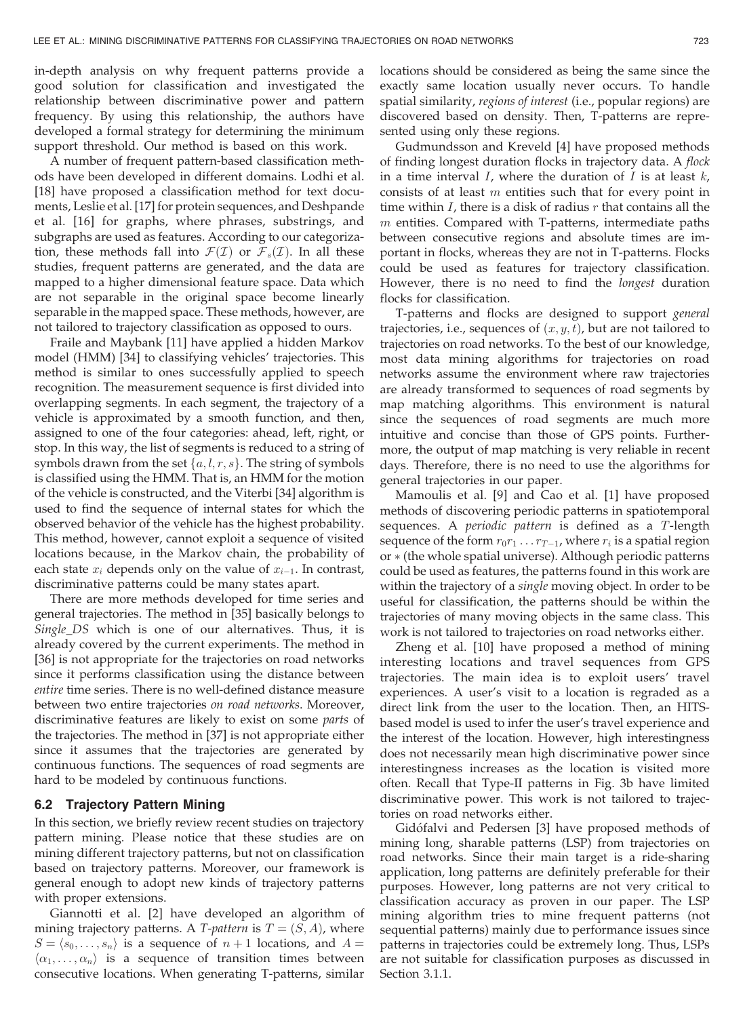in-depth analysis on why frequent patterns provide a good solution for classification and investigated the relationship between discriminative power and pattern frequency. By using this relationship, the authors have developed a formal strategy for determining the minimum support threshold. Our method is based on this work.

A number of frequent pattern-based classification methods have been developed in different domains. Lodhi et al. [18] have proposed a classification method for text documents, Leslie et al. [17] for protein sequences, and Deshpande et al. [16] for graphs, where phrases, substrings, and subgraphs are used as features. According to our categorization, these methods fall into  $\mathcal{F}(\mathcal{I})$  or  $\mathcal{F}_s(\mathcal{I})$ . In all these studies, frequent patterns are generated, and the data are mapped to a higher dimensional feature space. Data which are not separable in the original space become linearly separable in the mapped space. These methods, however, are not tailored to trajectory classification as opposed to ours.

Fraile and Maybank [11] have applied a hidden Markov model (HMM) [34] to classifying vehicles' trajectories. This method is similar to ones successfully applied to speech recognition. The measurement sequence is first divided into overlapping segments. In each segment, the trajectory of a vehicle is approximated by a smooth function, and then, assigned to one of the four categories: ahead, left, right, or stop. In this way, the list of segments is reduced to a string of symbols drawn from the set  $\{a, l, r, s\}$ . The string of symbols is classified using the HMM. That is, an HMM for the motion of the vehicle is constructed, and the Viterbi [34] algorithm is used to find the sequence of internal states for which the observed behavior of the vehicle has the highest probability. This method, however, cannot exploit a sequence of visited locations because, in the Markov chain, the probability of each state  $x_i$  depends only on the value of  $x_{i-1}$ . In contrast, discriminative patterns could be many states apart.

There are more methods developed for time series and general trajectories. The method in [35] basically belongs to Single\_DS which is one of our alternatives. Thus, it is already covered by the current experiments. The method in [36] is not appropriate for the trajectories on road networks since it performs classification using the distance between entire time series. There is no well-defined distance measure between two entire trajectories on road networks. Moreover, discriminative features are likely to exist on some parts of the trajectories. The method in [37] is not appropriate either since it assumes that the trajectories are generated by continuous functions. The sequences of road segments are hard to be modeled by continuous functions.

# 6.2 Trajectory Pattern Mining

In this section, we briefly review recent studies on trajectory pattern mining. Please notice that these studies are on mining different trajectory patterns, but not on classification based on trajectory patterns. Moreover, our framework is general enough to adopt new kinds of trajectory patterns with proper extensions.

Giannotti et al. [2] have developed an algorithm of mining trajectory patterns. A T-pattern is  $T = (S, A)$ , where  $S = \langle s_0, \ldots, s_n \rangle$  is a sequence of  $n + 1$  locations, and  $A =$  $\langle \alpha_1, \ldots, \alpha_n \rangle$  is a sequence of transition times between consecutive locations. When generating T-patterns, similar locations should be considered as being the same since the exactly same location usually never occurs. To handle spatial similarity, regions of interest (i.e., popular regions) are discovered based on density. Then, T-patterns are represented using only these regions.

Gudmundsson and Kreveld [4] have proposed methods of finding longest duration flocks in trajectory data. A flock in a time interval  $I$ , where the duration of  $I$  is at least  $k$ , consists of at least  $m$  entities such that for every point in time within  $I$ , there is a disk of radius  $r$  that contains all the  $m$  entities. Compared with T-patterns, intermediate paths between consecutive regions and absolute times are important in flocks, whereas they are not in T-patterns. Flocks could be used as features for trajectory classification. However, there is no need to find the longest duration flocks for classification.

T-patterns and flocks are designed to support general trajectories, i.e., sequences of  $(x, y, t)$ , but are not tailored to trajectories on road networks. To the best of our knowledge, most data mining algorithms for trajectories on road networks assume the environment where raw trajectories are already transformed to sequences of road segments by map matching algorithms. This environment is natural since the sequences of road segments are much more intuitive and concise than those of GPS points. Furthermore, the output of map matching is very reliable in recent days. Therefore, there is no need to use the algorithms for general trajectories in our paper.

Mamoulis et al. [9] and Cao et al. [1] have proposed methods of discovering periodic patterns in spatiotemporal sequences. A *periodic pattern* is defined as a T-length sequence of the form  $r_0r_1 \ldots r_{T-1}$ , where  $r_i$  is a spatial region  $or$   $*$  (the whole spatial universe). Although periodic patterns could be used as features, the patterns found in this work are within the trajectory of a single moving object. In order to be useful for classification, the patterns should be within the trajectories of many moving objects in the same class. This work is not tailored to trajectories on road networks either.

Zheng et al. [10] have proposed a method of mining interesting locations and travel sequences from GPS trajectories. The main idea is to exploit users' travel experiences. A user's visit to a location is regraded as a direct link from the user to the location. Then, an HITSbased model is used to infer the user's travel experience and the interest of the location. However, high interestingness does not necessarily mean high discriminative power since interestingness increases as the location is visited more often. Recall that Type-II patterns in Fig. 3b have limited discriminative power. This work is not tailored to trajectories on road networks either.

Gidófalvi and Pedersen [3] have proposed methods of mining long, sharable patterns (LSP) from trajectories on road networks. Since their main target is a ride-sharing application, long patterns are definitely preferable for their purposes. However, long patterns are not very critical to classification accuracy as proven in our paper. The LSP mining algorithm tries to mine frequent patterns (not sequential patterns) mainly due to performance issues since patterns in trajectories could be extremely long. Thus, LSPs are not suitable for classification purposes as discussed in Section 3.1.1.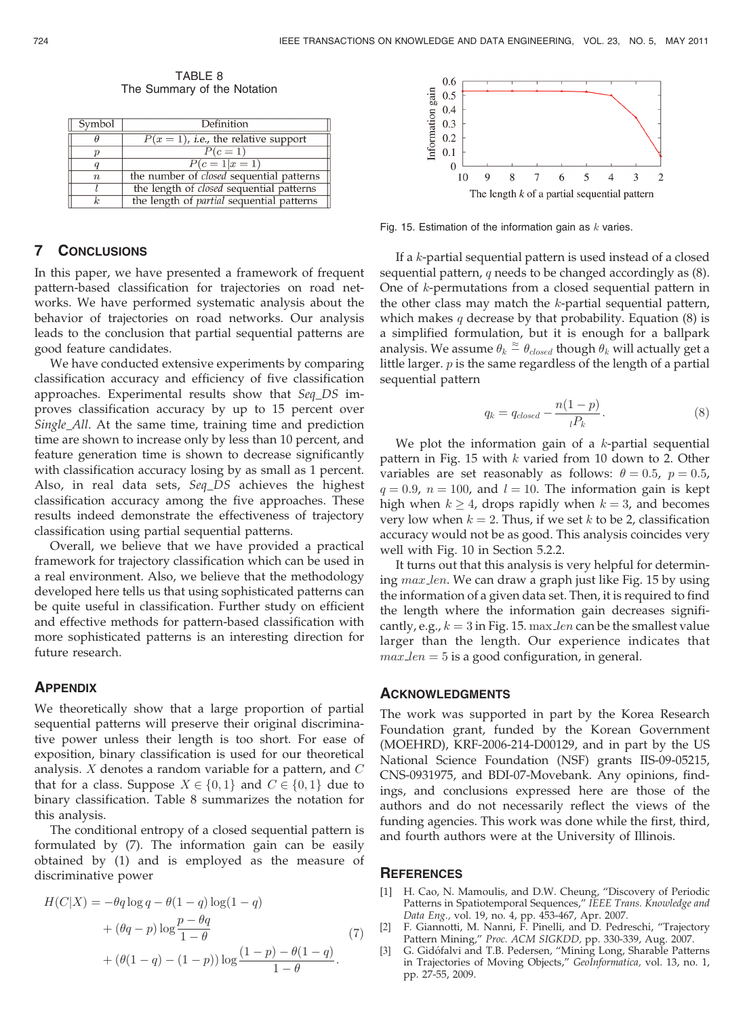Symbol Definition  $\overline{\theta}$  $P(x = 1)$ , *i.e.*, the relative support  $P(c=1)$  $\overline{p}$  $P(c=1|x=1)$  $\boldsymbol{q}$ the number of closed sequential patterns  $\boldsymbol{n}$ the length of *closed* sequential patterns  $\overline{k}$ the length of *partial* sequential patterns

TABLE 8 The Summary of the Notation

# 7 CONCLUSIONS

In this paper, we have presented a framework of frequent pattern-based classification for trajectories on road networks. We have performed systematic analysis about the behavior of trajectories on road networks. Our analysis leads to the conclusion that partial sequential patterns are good feature candidates.

We have conducted extensive experiments by comparing classification accuracy and efficiency of five classification approaches. Experimental results show that Seq\_DS improves classification accuracy by up to 15 percent over Single\_All. At the same time, training time and prediction time are shown to increase only by less than 10 percent, and feature generation time is shown to decrease significantly with classification accuracy losing by as small as 1 percent. Also, in real data sets, Seq\_DS achieves the highest classification accuracy among the five approaches. These results indeed demonstrate the effectiveness of trajectory classification using partial sequential patterns.

Overall, we believe that we have provided a practical framework for trajectory classification which can be used in a real environment. Also, we believe that the methodology developed here tells us that using sophisticated patterns can be quite useful in classification. Further study on efficient and effective methods for pattern-based classification with more sophisticated patterns is an interesting direction for future research.

#### **APPENDIX**

We theoretically show that a large proportion of partial sequential patterns will preserve their original discriminative power unless their length is too short. For ease of exposition, binary classification is used for our theoretical analysis.  $X$  denotes a random variable for a pattern, and  $C$ that for a class. Suppose  $X \in \{0, 1\}$  and  $C \in \{0, 1\}$  due to binary classification. Table 8 summarizes the notation for this analysis.

The conditional entropy of a closed sequential pattern is formulated by (7). The information gain can be easily obtained by (1) and is employed as the measure of discriminative power

$$
H(C|X) = -\theta q \log q - \theta (1-q) \log(1-q)
$$
  
+ 
$$
(\theta q - p) \log \frac{p - \theta q}{1 - \theta}
$$
  
+ 
$$
(\theta (1-q) - (1-p)) \log \frac{(1-p) - \theta (1-q)}{1 - \theta}.
$$
 (7)



Fig. 15. Estimation of the information gain as  $k$  varies.

If a k-partial sequential pattern is used instead of a closed sequential pattern, q needs to be changed accordingly as  $(8)$ . One of k-permutations from a closed sequential pattern in the other class may match the  $k$ -partial sequential pattern, which makes  $q$  decrease by that probability. Equation  $(8)$  is a simplified formulation, but it is enough for a ballpark analysis. We assume  $\theta_k \stackrel{\approx}{=} \theta_{closed}$  though  $\theta_k$  will actually get a little larger.  $p$  is the same regardless of the length of a partial sequential pattern

$$
q_k = q_{closed} - \frac{n(1-p)}{lP_k}.
$$
\n(8)

We plot the information gain of a  $k$ -partial sequential pattern in Fig. 15 with  $k$  varied from 10 down to 2. Other variables are set reasonably as follows:  $\theta = 0.5$ ,  $p = 0.5$ ,  $q = 0.9$ ,  $n = 100$ , and  $l = 10$ . The information gain is kept high when  $k > 4$ , drops rapidly when  $k = 3$ , and becomes very low when  $k = 2$ . Thus, if we set k to be 2, classification accuracy would not be as good. This analysis coincides very well with Fig. 10 in Section 5.2.2.

It turns out that this analysis is very helpful for determining max len. We can draw a graph just like Fig. 15 by using the information of a given data set. Then, it is required to find the length where the information gain decreases significantly, e.g.,  $k = 3$  in Fig. 15. max len can be the smallest value larger than the length. Our experience indicates that  $max $len = 5$  is a good configuration, in general.$ 

#### ACKNOWLEDGMENTS

The work was supported in part by the Korea Research Foundation grant, funded by the Korean Government (MOEHRD), KRF-2006-214-D00129, and in part by the US National Science Foundation (NSF) grants IIS-09-05215, CNS-0931975, and BDI-07-Movebank. Any opinions, findings, and conclusions expressed here are those of the authors and do not necessarily reflect the views of the funding agencies. This work was done while the first, third, and fourth authors were at the University of Illinois.

## **REFERENCES**

- [1] H. Cao, N. Mamoulis, and D.W. Cheung, "Discovery of Periodic Patterns in Spatiotemporal Sequences," IEEE Trans. Knowledge and Data Eng., vol. 19, no. 4, pp. 453-467, Apr. 2007.
- [2] F. Giannotti, M. Nanni, F. Pinelli, and D. Pedreschi, "Trajectory Pattern Mining," Proc. ACM SIGKDD, pp. 330-339, Aug. 2007.
- [3] G. Gidófalvi and T.B. Pedersen, "Mining Long, Sharable Patterns in Trajectories of Moving Objects," GeoInformatica, vol. 13, no. 1, pp. 27-55, 2009.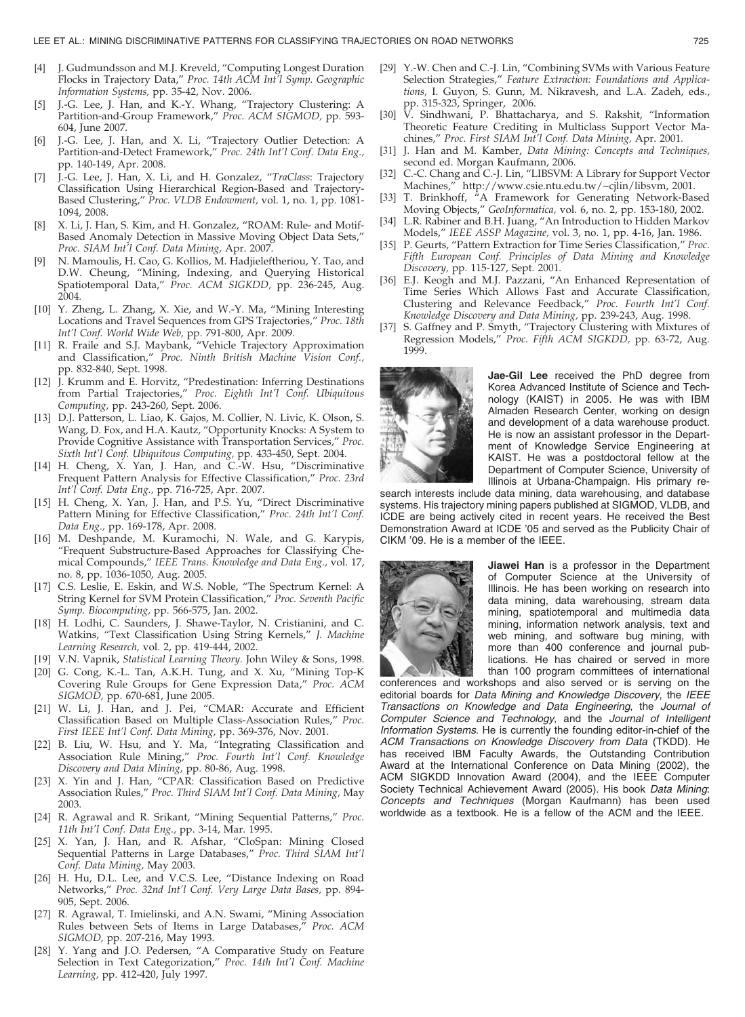- [4] J. Gudmundsson and M.J. Kreveld, "Computing Longest Duration Flocks in Trajectory Data," Proc. 14th ACM Int'l Symp. Geographic Information Systems, pp. 35-42, Nov. 2006.
- J.-G. Lee, J. Han, and K.-Y. Whang, "Trajectory Clustering: A Partition-and-Group Framework," Proc. ACM SIGMOD, pp. 593- 604, June 2007.
- [6] J.-G. Lee, J. Han, and X. Li, "Trajectory Outlier Detection: A Partition-and-Detect Framework," Proc. 24th Int'l Conf. Data Eng., pp. 140-149, Apr. 2008.
- [7] J.-G. Lee, J. Han, X. Li, and H. Gonzalez, "TraClass: Trajectory Classification Using Hierarchical Region-Based and Trajectory-Based Clustering," Proc. VLDB Endowment, vol. 1, no. 1, pp. 1081- 1094, 2008.
- [8] X. Li, J. Han, S. Kim, and H. Gonzalez, "ROAM: Rule- and Motif-Based Anomaly Detection in Massive Moving Object Data Sets," Proc. SIAM Int'l Conf. Data Mining, Apr. 2007.
- [9] N. Mamoulis, H. Cao, G. Kollios, M. Hadjieleftheriou, Y. Tao, and D.W. Cheung, "Mining, Indexing, and Querying Historical Spatiotemporal Data," Proc. ACM SIGKDD, pp. 236-245, Aug. 2004.
- [10] Y. Zheng, L. Zhang, X. Xie, and W.-Y. Ma, "Mining Interesting Locations and Travel Sequences from GPS Trajectories," Proc. 18th Int'l Conf. World Wide Web, pp. 791-800, Apr. 2009.
- [11] R. Fraile and S.J. Maybank, "Vehicle Trajectory Approximation and Classification," Proc. Ninth British Machine Vision Conf., pp. 832-840, Sept. 1998.
- [12] J. Krumm and E. Horvitz, "Predestination: Inferring Destinations from Partial Trajectories," Proc. Eighth Int'l Conf. Ubiquitous Computing, pp. 243-260, Sept. 2006.
- [13] D.J. Patterson, L. Liao, K. Gajos, M. Collier, N. Livic, K. Olson, S. Wang, D. Fox, and H.A. Kautz, "Opportunity Knocks: A System to Provide Cognitive Assistance with Transportation Services," Proc. Sixth Int'l Conf. Ubiquitous Computing, pp. 433-450, Sept. 2004.
- [14] H. Cheng, X. Yan, J. Han, and C.-W. Hsu, "Discriminative Frequent Pattern Analysis for Effective Classification," Proc. 23rd Int'l Conf. Data Eng., pp. 716-725, Apr. 2007.
- [15] H. Cheng, X. Yan, J. Han, and P.S. Yu, "Direct Discriminative Pattern Mining for Effective Classification," Proc. 24th Int'l Conf. Data Eng., pp. 169-178, Apr. 2008.
- [16] M. Deshpande, M. Kuramochi, N. Wale, and G. Karypis, "Frequent Substructure-Based Approaches for Classifying Chemical Compounds," IEEE Trans. Knowledge and Data Eng., vol. 17, no. 8, pp. 1036-1050, Aug. 2005.
- [17] C.S. Leslie, E. Eskin, and W.S. Noble, "The Spectrum Kernel: A String Kernel for SVM Protein Classification," Proc. Seventh Pacific Symp. Biocomputing, pp. 566-575, Jan. 2002.
- [18] H. Lodhi, C. Saunders, J. Shawe-Taylor, N. Cristianini, and C. Watkins, "Text Classification Using String Kernels," J. Machine Learning Research, vol. 2, pp. 419-444, 2002.
- [19] V.N. Vapnik, Statistical Learning Theory. John Wiley & Sons, 1998.
- [20] G. Cong, K.-L. Tan, A.K.H. Tung, and X. Xu, "Mining Top-K Covering Rule Groups for Gene Expression Data," Proc. ACM SIGMOD, pp. 670-681, June 2005.
- [21] W. Li, J. Han, and J. Pei, "CMAR: Accurate and Efficient Classification Based on Multiple Class-Association Rules," Proc. First IEEE Int'l Conf. Data Mining, pp. 369-376, Nov. 2001.
- [22] B. Liu, W. Hsu, and Y. Ma, "Integrating Classification and Association Rule Mining," Proc. Fourth Int'l Conf. Knowledge Discovery and Data Mining, pp. 80-86, Aug. 1998.
- [23] X. Yin and J. Han, "CPAR: Classification Based on Predictive Association Rules," Proc. Third SIAM Int'l Conf. Data Mining, May 2003.
- [24] R. Agrawal and R. Srikant, "Mining Sequential Patterns," Proc. 11th Int'l Conf. Data Eng., pp. 3-14, Mar. 1995.
- [25] X. Yan, J. Han, and R. Afshar, "CloSpan: Mining Closed Sequential Patterns in Large Databases," Proc. Third SIAM Int'l Conf. Data Mining, May 2003.
- [26] H. Hu, D.L. Lee, and V.C.S. Lee, "Distance Indexing on Road Networks," Proc. 32nd Int'l Conf. Very Large Data Bases, pp. 894- 905, Sept. 2006.
- [27] R. Agrawal, T. Imielinski, and A.N. Swami, "Mining Association Rules between Sets of Items in Large Databases," Proc. ACM SIGMOD, pp. 207-216, May 1993.
- [28] Y. Yang and J.O. Pedersen, "A Comparative Study on Feature Selection in Text Categorization," Proc. 14th Int'l Conf. Machine Learning, pp. 412-420, July 1997.
- [29] Y.-W. Chen and C.-J. Lin, "Combining SVMs with Various Feature Selection Strategies," Feature Extraction: Foundations and Applications, I. Guyon, S. Gunn, M. Nikravesh, and L.A. Zadeh, eds., pp. 315-323, Springer, 2006.
- [30] V. Sindhwani, P. Bhattacharya, and S. Rakshit, "Information Theoretic Feature Crediting in Multiclass Support Vector Machines," Proc. First SIAM Int'l Conf. Data Mining, Apr. 2001.
- [31] J. Han and M. Kamber, Data Mining: Concepts and Techniques, second ed. Morgan Kaufmann, 2006.
- [32] C.-C. Chang and C.-J. Lin, "LIBSVM: A Library for Support Vector Machines," http://www.csie.ntu.edu.tw/~cjlin/libsvm, 2001.
- [33] T. Brinkhoff, "A Framework for Generating Network-Based Moving Objects," GeoInformatica, vol. 6, no. 2, pp. 153-180, 2002.
- [34] L.R. Rabiner and B.H. Juang, "An Introduction to Hidden Markov Models," IEEE ASSP Magazine, vol. 3, no. 1, pp. 4-16, Jan. 1986.
- [35] P. Geurts, "Pattern Extraction for Time Series Classification," Proc. Fifth European Conf. Principles of Data Mining and Knowledge Discovery, pp. 115-127, Sept. 2001.
- [36] E.J. Keogh and M.J. Pazzani, "An Enhanced Representation of Time Series Which Allows Fast and Accurate Classification, Clustering and Relevance Feedback," Proc. Fourth Int'l Conf. Knowledge Discovery and Data Mining, pp. 239-243, Aug. 1998.
- [37] S. Gaffney and P. Smyth, "Trajectory Clustering with Mixtures of Regression Models," Proc. Fifth ACM SIGKDD, pp. 63-72, Aug. 1999.



Jae-Gil Lee received the PhD degree from Korea Advanced Institute of Science and Technology (KAIST) in 2005. He was with IBM Almaden Research Center, working on design and development of a data warehouse product. He is now an assistant professor in the Department of Knowledge Service Engineering at KAIST. He was a postdoctoral fellow at the Department of Computer Science, University of Illinois at Urbana-Champaign. His primary re-

search interests include data mining, data warehousing, and database systems. His trajectory mining papers published at SIGMOD, VLDB, and ICDE are being actively cited in recent years. He received the Best Demonstration Award at ICDE '05 and served as the Publicity Chair of CIKM '09. He is a member of the IEEE.



Jiawei Han is a professor in the Department of Computer Science at the University of Illinois. He has been working on research into data mining, data warehousing, stream data mining, spatiotemporal and multimedia data mining, information network analysis, text and web mining, and software bug mining, with more than 400 conference and journal publications. He has chaired or served in more than 100 program committees of international

conferences and workshops and also served or is serving on the editorial boards for Data Mining and Knowledge Discovery, the IEEE Transactions on Knowledge and Data Engineering, the Journal of Computer Science and Technology, and the Journal of Intelligent Information Systems. He is currently the founding editor-in-chief of the ACM Transactions on Knowledge Discovery from Data (TKDD). He has received IBM Faculty Awards, the Outstanding Contribution Award at the International Conference on Data Mining (2002), the ACM SIGKDD Innovation Award (2004), and the IEEE Computer Society Technical Achievement Award (2005). His book Data Mining: Concepts and Techniques (Morgan Kaufmann) has been used worldwide as a textbook. He is a fellow of the ACM and the IEEE.